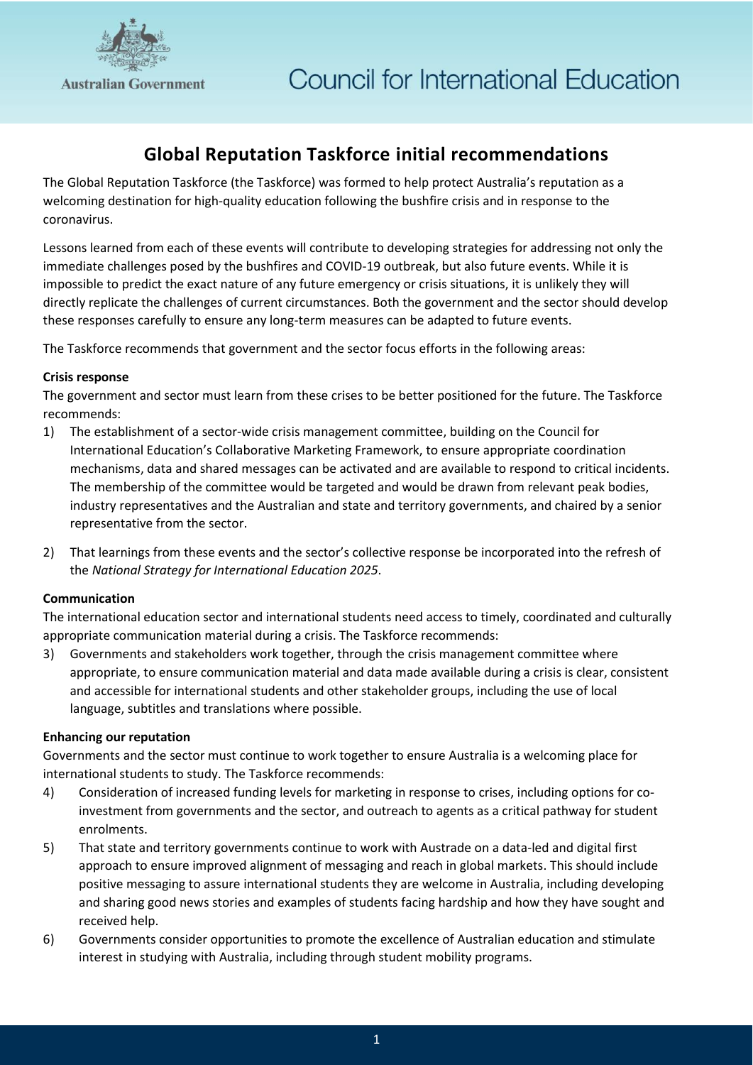

# **Global Reputation Taskforce initial recommendations**

The Global Reputation Taskforce (the Taskforce) was formed to help protect Australia's reputation as a welcoming destination for high-quality education following the bushfire crisis and in response to the coronavirus.

Lessons learned from each of these events will contribute to developing strategies for addressing not only the immediate challenges posed by the bushfires and COVID-19 outbreak, but also future events. While it is impossible to predict the exact nature of any future emergency or crisis situations, it is unlikely they will directly replicate the challenges of current circumstances. Both the government and the sector should develop these responses carefully to ensure any long-term measures can be adapted to future events.

The Taskforce recommends that government and the sector focus efforts in the following areas:

## **Crisis response**

The government and sector must learn from these crises to be better positioned for the future. The Taskforce recommends:

- 1) The establishment of a sector-wide crisis management committee, building on the Council for International Education's Collaborative Marketing Framework, to ensure appropriate coordination mechanisms, data and shared messages can be activated and are available to respond to critical incidents. The membership of the committee would be targeted and would be drawn from relevant peak bodies, industry representatives and the Australian and state and territory governments, and chaired by a senior representative from the sector.
- 2) That learnings from these events and the sector's collective response be incorporated into the refresh of the *National Strategy for International Education 2025*.

# **Communication**

The international education sector and international students need access to timely, coordinated and culturally appropriate communication material during a crisis. The Taskforce recommends:

3) Governments and stakeholders work together, through the crisis management committee where appropriate, to ensure communication material and data made available during a crisis is clear, consistent and accessible for international students and other stakeholder groups, including the use of local language, subtitles and translations where possible.

#### **Enhancing our reputation**

Governments and the sector must continue to work together to ensure Australia is a welcoming place for international students to study. The Taskforce recommends:

- 4) Consideration of increased funding levels for marketing in response to crises, including options for coinvestment from governments and the sector, and outreach to agents as a critical pathway for student enrolments.
- 5) That state and territory governments continue to work with Austrade on a data-led and digital first approach to ensure improved alignment of messaging and reach in global markets. This should include positive messaging to assure international students they are welcome in Australia, including developing and sharing good news stories and examples of students facing hardship and how they have sought and received help.
- 6) Governments consider opportunities to promote the excellence of Australian education and stimulate interest in studying with Australia, including through student mobility programs.